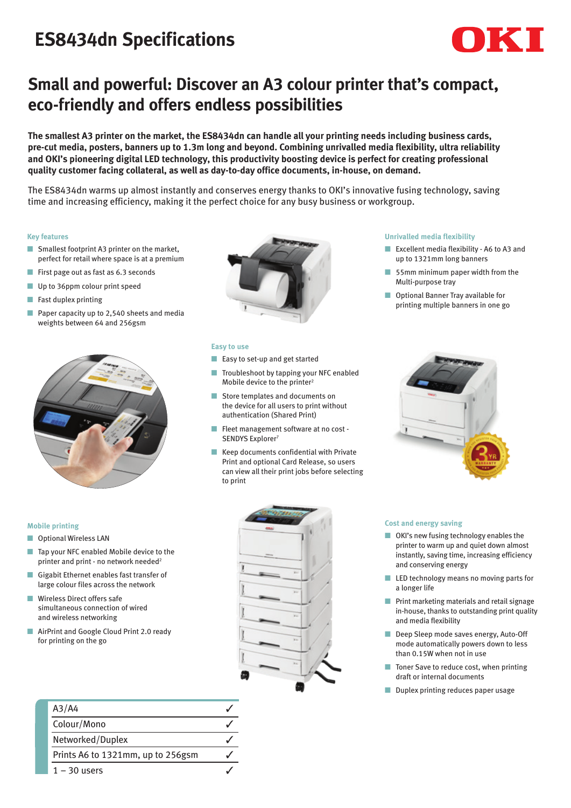# **ES8434dn Specifications**



## **Small and powerful: Discover an A3 colour printer that's compact, eco-friendly and offers endless possibilities**

**The smallest A3 printer on the market, the ES8434dn can handle all your printing needs including business cards, pre-cut media, posters, banners up to 1.3m long and beyond. Combining unrivalled media flexibility, ultra reliability and OKI's pioneering digital LED technology, this productivity boosting device is perfect for creating professional quality customer facing collateral, as well as day-to-day office documents, in-house, on demand.**

The ES8434dn warms up almost instantly and conserves energy thanks to OKI's innovative fusing technology, saving time and increasing efficiency, making it the perfect choice for any busy business or workgroup.

#### **Key features**

- Smallest footprint A3 printer on the market, perfect for retail where space is at a premium
- First page out as fast as 6.3 seconds
- Up to 36ppm colour print speed
- Fast duplex printing
- Paper capacity up to 2,540 sheets and media weights between 64 and 256gsm





#### **Easy to use**

- Easy to set-up and get started
- Troubleshoot by tapping your NFC enabled Mobile device to the printer<sup>2</sup>
- Store templates and documents on the device for all users to print without authentication (Shared Print)
- Fleet management software at no cost -SENDYS Explorer<sup>7</sup>
- Keep documents confidential with Private Print and optional Card Release, so users can view all their print jobs before selecting to print

#### **Unrivalled media flexibility**

- Excellent media flexibility A6 to A3 and up to 1321mm long banners
- 55mm minimum paper width from the Multi-purpose tray
- Optional Banner Tray available for printing multiple banners in one go



#### **Mobile printing**

- Optional Wireless LAN
- Tap your NFC enabled Mobile device to the printer and print - no network needed<sup>2</sup>
- Gigabit Ethernet enables fast transfer of large colour files across the network
- Wireless Direct offers safe simultaneous connection of wired and wireless networking
- AirPrint and Google Cloud Print 2.0 ready for printing on the go

| A3/A4                             |  |
|-----------------------------------|--|
| Colour/Mono                       |  |
| Networked/Duplex                  |  |
| Prints A6 to 1321mm, up to 256gsm |  |
| $1 - 30$ users                    |  |



#### **Cost and energy saving**

- OKI's new fusing technology enables the printer to warm up and quiet down almost instantly, saving time, increasing efficiency and conserving energy
- LED technology means no moving parts for a longer life
- Print marketing materials and retail signage in-house, thanks to outstanding print quality and media flexibility
- Deep Sleep mode saves energy, Auto-Off mode automatically powers down to less than 0.15W when not in use
- Toner Save to reduce cost, when printing draft or internal documents
- Duplex printing reduces paper usage